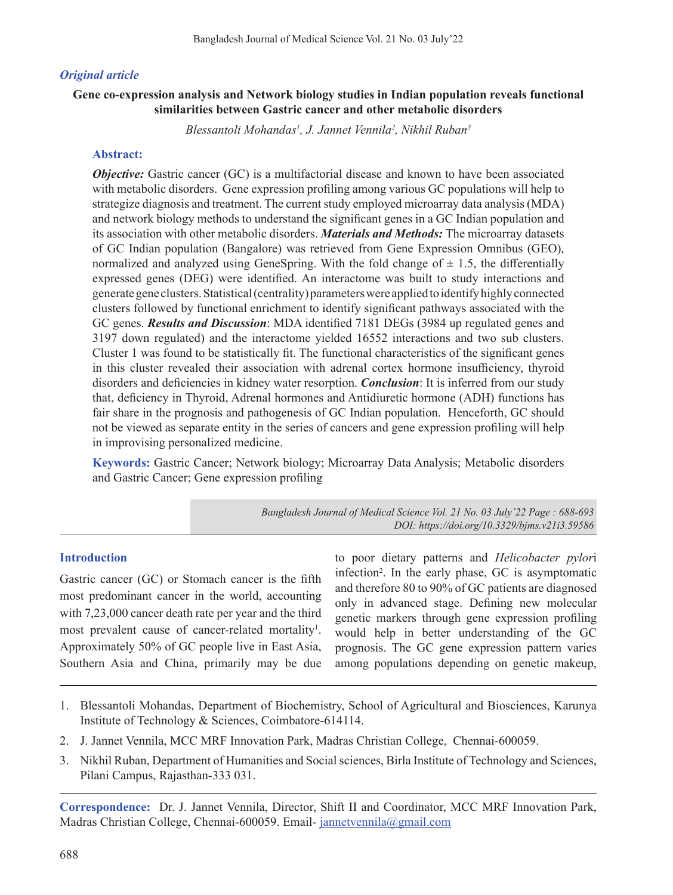## *Original article*

## **Gene co-expression analysis and Network biology studies in Indian population reveals functional similarities between Gastric cancer and other metabolic disorders**

*Blessantoli Mohandas1 , J. Jannet Vennila2 , Nikhil Ruban3*

## **Abstract:**

*Objective:* Gastric cancer (GC) is a multifactorial disease and known to have been associated with metabolic disorders. Gene expression profiling among various GC populations will help to strategize diagnosis and treatment. The current study employed microarray data analysis (MDA) and network biology methods to understand the significant genes in a GC Indian population and its association with other metabolic disorders. *Materials and Methods:* The microarray datasets of GC Indian population (Bangalore) was retrieved from Gene Expression Omnibus (GEO), normalized and analyzed using GeneSpring. With the fold change of  $\pm$  1.5, the differentially expressed genes (DEG) were identified. An interactome was built to study interactions and generate gene clusters. Statistical (centrality) parameters were applied to identify highly connected clusters followed by functional enrichment to identify significant pathways associated with the GC genes. *Results and Discussion*: MDA identified 7181 DEGs (3984 up regulated genes and 3197 down regulated) and the interactome yielded 16552 interactions and two sub clusters. Cluster 1 was found to be statistically fit. The functional characteristics of the significant genes in this cluster revealed their association with adrenal cortex hormone insufficiency, thyroid disorders and deficiencies in kidney water resorption. *Conclusion*: It is inferred from our study that, deficiency in Thyroid, Adrenal hormones and Antidiuretic hormone (ADH) functions has fair share in the prognosis and pathogenesis of GC Indian population. Henceforth, GC should not be viewed as separate entity in the series of cancers and gene expression profiling will help in improvising personalized medicine.

**Keywords:** Gastric Cancer; Network biology; Microarray Data Analysis; Metabolic disorders and Gastric Cancer; Gene expression profiling

> *Bangladesh Journal of Medical Science Vol. 21 No. 03 July'22 Page : 688-693 DOI: https://doi.org/10.3329/bjms.v21i3.59586*

### **Introduction**

Gastric cancer (GC) or Stomach cancer is the fifth most predominant cancer in the world, accounting with 7,23,000 cancer death rate per year and the third most prevalent cause of cancer-related mortality<sup>1</sup>. Approximately 50% of GC people live in East Asia, Southern Asia and China, primarily may be due

to poor dietary patterns and *Helicobacter pylor*i infection2 . In the early phase, GC is asymptomatic and therefore 80 to 90% of GC patients are diagnosed only in advanced stage. Defining new molecular genetic markers through gene expression profiling would help in better understanding of the GC prognosis. The GC gene expression pattern varies among populations depending on genetic makeup,

- 1. Blessantoli Mohandas, Department of Biochemistry, School of Agricultural and Biosciences, Karunya Institute of Technology & Sciences, Coimbatore-614114.
- 2. J. Jannet Vennila, MCC MRF Innovation Park, Madras Christian College, Chennai-600059.
- 3. Nikhil Ruban, Department of Humanities and Social sciences, Birla Institute of Technology and Sciences, Pilani Campus, Rajasthan-333 031.

**Correspondence:** Dr. J. Jannet Vennila, Director, Shift II and Coordinator, MCC MRF Innovation Park, Madras Christian College, Chennai-600059. Email- jannetvennila@gmail.com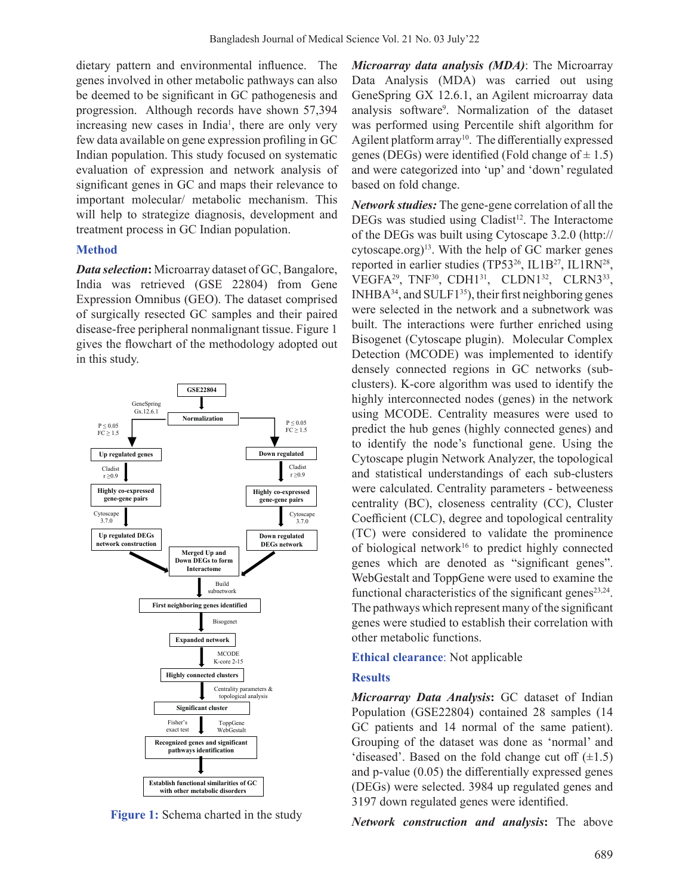dietary pattern and environmental influence. The genes involved in other metabolic pathways can also be deemed to be significant in GC pathogenesis and progression. Although records have shown 57,394 increasing new cases in India<sup>1</sup>, there are only very few data available on gene expression profiling in GC Indian population. This study focused on systematic evaluation of expression and network analysis of significant genes in GC and maps their relevance to important molecular/ metabolic mechanism. This will help to strategize diagnosis, development and treatment process in GC Indian population.

# **Method**

*Data selection***:** Microarray dataset of GC, Bangalore, India was retrieved (GSE 22804) from Gene Expression Omnibus (GEO). The dataset comprised of surgically resected GC samples and their paired disease-free peripheral nonmalignant tissue. Figure 1 gives the flowchart of the methodology adopted out in this study.



**Figure 1:** Schema charted in the study

*Microarray data analysis (MDA)*: The Microarray Data Analysis (MDA) was carried out using GeneSpring GX 12.6.1, an Agilent microarray data analysis software9 . Normalization of the dataset was performed using Percentile shift algorithm for Agilent platform array<sup>10</sup>. The differentially expressed genes (DEGs) were identified (Fold change of  $\pm$  1.5) and were categorized into 'up' and 'down' regulated based on fold change.

*Network studies:* The gene-gene correlation of all the  $DEGs$  was studied using  $Cladist<sup>12</sup>$ . The Interactome of the DEGs was built using Cytoscape 3.2.0 (http:// cytoscape.org) 13. With the help of GC marker genes reported in earlier studies (TP53<sup>26</sup>, IL1B<sup>27</sup>, IL1RN<sup>28</sup>, VEGFA<sup>29</sup>, TNF<sup>30</sup>, CDH1<sup>31</sup>, CLDN1<sup>32</sup>, CLRN3<sup>33</sup>,  $INHBA<sup>34</sup>$ , and  $SULF1<sup>35</sup>$ ), their first neighboring genes were selected in the network and a subnetwork was built. The interactions were further enriched using Bisogenet (Cytoscape plugin). Molecular Complex Detection (MCODE) was implemented to identify densely connected regions in GC networks (subclusters). K-core algorithm was used to identify the highly interconnected nodes (genes) in the network using MCODE. Centrality measures were used to predict the hub genes (highly connected genes) and to identify the node's functional gene. Using the Cytoscape plugin Network Analyzer, the topological and statistical understandings of each sub-clusters were calculated. Centrality parameters - betweeness centrality (BC), closeness centrality (CC), Cluster Coefficient (CLC), degree and topological centrality (TC) were considered to validate the prominence of biological network<sup>16</sup> to predict highly connected genes which are denoted as "significant genes". WebGestalt and ToppGene were used to examine the functional characteristics of the significant genes<sup>23,24</sup>. The pathways which represent many of the significant genes were studied to establish their correlation with other metabolic functions.

## **Ethical clearance**: Not applicable

## **Results**

*Microarray Data Analysis***:** GC dataset of Indian Population (GSE22804) contained 28 samples (14 GC patients and 14 normal of the same patient). Grouping of the dataset was done as 'normal' and 'diseased'. Based on the fold change cut off  $(\pm 1.5)$ and p-value (0.05) the differentially expressed genes (DEGs) were selected. 3984 up regulated genes and 3197 down regulated genes were identified.

*Network construction and analysis***:** The above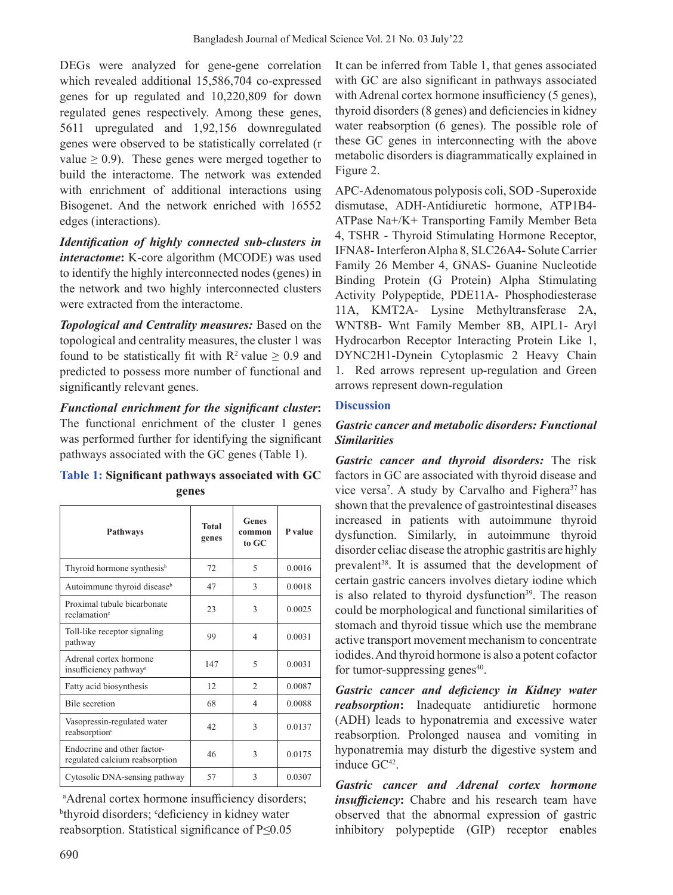DEGs were analyzed for gene-gene correlation which revealed additional 15,586,704 co-expressed genes for up regulated and 10,220,809 for down regulated genes respectively. Among these genes, 5611 upregulated and 1,92,156 downregulated genes were observed to be statistically correlated (r value  $\geq$  0.9). These genes were merged together to build the interactome. The network was extended with enrichment of additional interactions using Bisogenet. And the network enriched with 16552 edges (interactions).

*Identification of highly connected sub-clusters in interactome*: K-core algorithm (MCODE) was used to identify the highly interconnected nodes (genes) in the network and two highly interconnected clusters were extracted from the interactome.

*Topological and Centrality measures:* Based on the topological and centrality measures, the cluster 1 was found to be statistically fit with  $\mathbb{R}^2$  value  $\geq 0.9$  and predicted to possess more number of functional and significantly relevant genes.

*Functional enrichment for the significant cluster***:**  The functional enrichment of the cluster 1 genes was performed further for identifying the significant pathways associated with the GC genes (Table 1).

# **Table 1: Significant pathways associated with GC genes**

| <b>Pathways</b>                                               | <b>Total</b><br>genes | Genes<br>common<br>to GC | P value |
|---------------------------------------------------------------|-----------------------|--------------------------|---------|
| Thyroid hormone synthesis <sup>b</sup>                        | 72                    | 5                        | 0.0016  |
| Autoimmune thyroid disease <sup>b</sup>                       | 47                    | 3                        | 0.0018  |
| Proximal tubule bicarbonate<br>reclamation <sup>c</sup>       | 23                    | 3                        | 0.0025  |
| Toll-like receptor signaling<br>pathway                       | 99                    | $\overline{4}$           | 0.0031  |
| Adrenal cortex hormone<br>insufficiency pathway <sup>a</sup>  | 147                   | 5                        | 0.0031  |
| Fatty acid biosynthesis                                       | 12                    | $\mathfrak{D}$           | 0.0087  |
| <b>Bile</b> secretion                                         | 68                    | $\overline{4}$           | 0.0088  |
| Vasopressin-regulated water<br>reabsorption <sup>c</sup>      | 42                    | 3                        | 0.0137  |
| Endocrine and other factor-<br>regulated calcium reabsorption | 46                    | 3                        | 0.0175  |
| Cytosolic DNA-sensing pathway                                 | 57                    | 3                        | 0.0307  |

a Adrenal cortex hormone insufficiency disorders; <sup>b</sup>thyroid disorders; <sup>c</sup>deficiency in kidney water reabsorption. Statistical significance of P≤0.05

It can be inferred from Table 1, that genes associated with GC are also significant in pathways associated with Adrenal cortex hormone insufficiency (5 genes), thyroid disorders (8 genes) and deficiencies in kidney water reabsorption (6 genes). The possible role of these GC genes in interconnecting with the above metabolic disorders is diagrammatically explained in Figure 2.

APC-Adenomatous polyposis coli, SOD -Superoxide dismutase, ADH-Antidiuretic hormone, ATP1B4- ATPase Na+/K+ Transporting Family Member Beta 4, TSHR - Thyroid Stimulating Hormone Receptor, IFNA8-InterferonAlpha 8, SLC26A4- SoluteCarrier Family 26 Member 4, GNAS- Guanine Nucleotide Binding Protein (G Protein) Alpha Stimulating Activity Polypeptide, PDE11A- Phosphodiesterase 11A, KMT2A- Lysine Methyltransferase 2A, WNT8B- Wnt Family Member 8B, AIPL1- Aryl Hydrocarbon Receptor Interacting Protein Like 1, DYNC2H1-Dynein Cytoplasmic 2 Heavy Chain 1. Red arrows represent up-regulation and Green arrows represent down-regulation

# **Discussion**

# *Gastric cancer and metabolic disorders: Functional Similarities*

*Gastric cancer and thyroid disorders:* The risk factors in GC are associated with thyroid disease and vice versa<sup>7</sup>. A study by Carvalho and Fighera<sup>37</sup> has shown that the prevalence of gastrointestinal diseases increased in patients with autoimmune thyroid dysfunction. Similarly, in autoimmune thyroid disorder celiac disease the atrophic gastritis are highly prevalent<sup>38</sup>. It is assumed that the development of certain gastric cancers involves dietary iodine which is also related to thyroid dysfunction<sup>39</sup>. The reason could be morphological and functional similarities of stomach and thyroid tissue which use the membrane active transport movement mechanism to concentrate iodides. And thyroid hormone is also a potent cofactor for tumor-suppressing genes $40$ .

*Gastric cancer and deficiency in Kidney water reabsorption***:** Inadequate antidiuretic hormone (ADH) leads to hyponatremia and excessive water reabsorption. Prolonged nausea and vomiting in hyponatremia may disturb the digestive system and induce GC<sup>42</sup>.

*Gastric cancer and Adrenal cortex hormone insufficiency*: Chabre and his research team have observed that the abnormal expression of gastric inhibitory polypeptide (GIP) receptor enables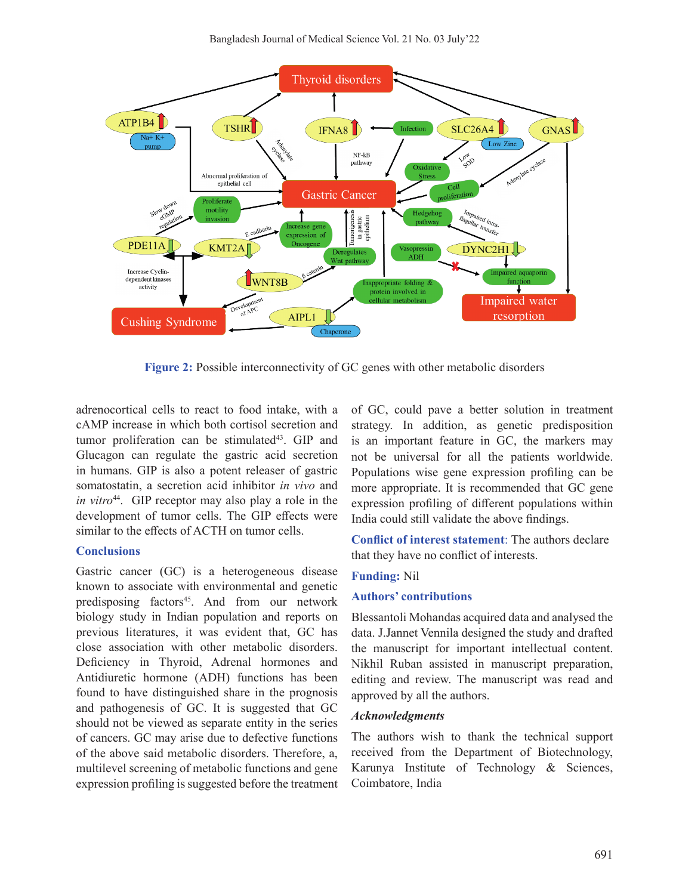

**Figure 2:** Possible interconnectivity of GC genes with other metabolic disorders

adrenocortical cells to react to food intake, with a cAMP increase in which both cortisol secretion and tumor proliferation can be stimulated<sup>43</sup>. GIP and Glucagon can regulate the gastric acid secretion in humans. GIP is also a potent releaser of gastric somatostatin, a secretion acid inhibitor *in vivo* and *in vitro*<sup>44</sup>. GIP receptor may also play a role in the development of tumor cells. The GIP effects were similar to the effects of ACTH on tumor cells.

#### **Conclusions**

Gastric cancer (GC) is a heterogeneous disease known to associate with environmental and genetic predisposing factors<sup>45</sup>. And from our network biology study in Indian population and reports on previous literatures, it was evident that, GC has close association with other metabolic disorders. Deficiency in Thyroid, Adrenal hormones and Antidiuretic hormone (ADH) functions has been found to have distinguished share in the prognosis and pathogenesis of GC. It is suggested that GC should not be viewed as separate entity in the series of cancers. GC may arise due to defective functions of the above said metabolic disorders. Therefore, a, multilevel screening of metabolic functions and gene expression profiling is suggested before the treatment

of GC, could pave a better solution in treatment strategy. In addition, as genetic predisposition is an important feature in GC, the markers may not be universal for all the patients worldwide. Populations wise gene expression profiling can be more appropriate. It is recommended that GC gene expression profiling of different populations within India could still validate the above findings.

**Conflict of interest statement**: The authors declare that they have no conflict of interests.

#### **Funding:** Nil

#### **Authors' contributions**

Blessantoli Mohandas acquired data and analysed the data. J.Jannet Vennila designed the study and drafted the manuscript for important intellectual content. Nikhil Ruban assisted in manuscript preparation, editing and review. The manuscript was read and approved by all the authors.

### *Acknowledgments*

The authors wish to thank the technical support received from the Department of Biotechnology, Karunya Institute of Technology & Sciences, Coimbatore, India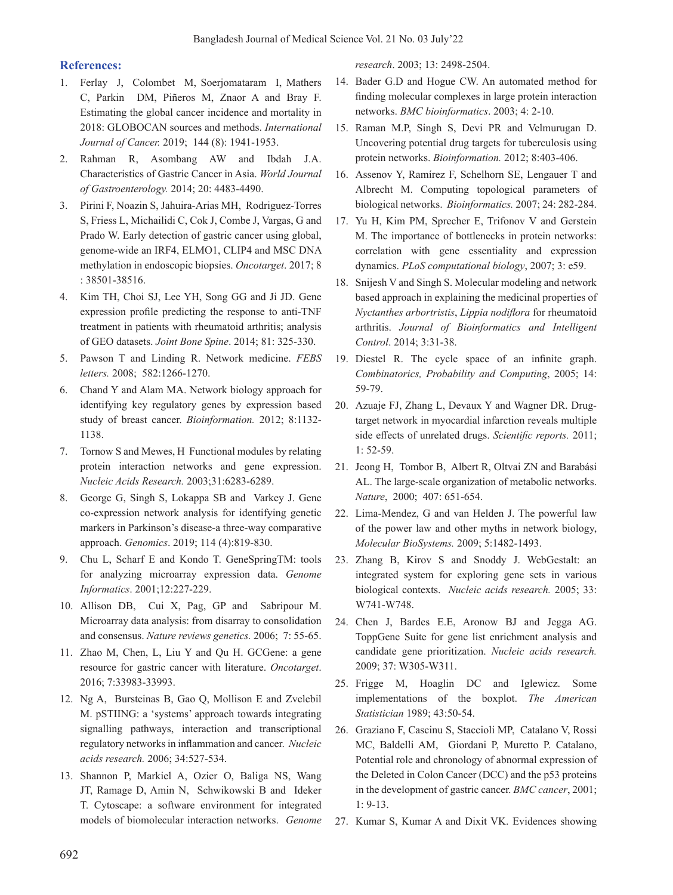### **References:**

- 1. Ferlay J, Colombet M, Soerjomataram I, Mathers C, Parkin DM, Piñeros M, Znaor A and Bray F. Estimating the global cancer incidence and mortality in 2018: GLOBOCAN sources and methods. *International Journal of Cancer.* 2019; 144 (8): 1941-1953.
- 2. Rahman R, Asombang AW and Ibdah J.A. Characteristics of Gastric Cancer in Asia. *World Journal of Gastroenterology.* 2014; 20: 4483-4490.
- 3. Pirini F, Noazin S, Jahuira-Arias MH, Rodriguez-Torres S, Friess L, Michailidi C, Cok J, Combe J, Vargas, G and Prado W. Early detection of gastric cancer using global, genome-wide an IRF4, ELMO1, CLIP4 and MSC DNA methylation in endoscopic biopsies. *Oncotarget*. 2017; 8 : 38501-38516.
- 4. Kim TH, Choi SJ, Lee YH, Song GG and Ji JD. Gene expression profile predicting the response to anti-TNF treatment in patients with rheumatoid arthritis; analysis of GEO datasets. *Joint Bone Spine*. 2014; 81: 325-330.
- 5. Pawson T and Linding R. Network medicine. *FEBS letters.* 2008; 582:1266-1270.
- 6. Chand Y and Alam MA. Network biology approach for identifying key regulatory genes by expression based study of breast cancer. *Bioinformation.* 2012; 8:1132- 1138.
- 7. Tornow S and Mewes, H Functional modules by relating protein interaction networks and gene expression. *Nucleic Acids Research.* 2003;31:6283-6289.
- 8. George G, Singh S, Lokappa SB and Varkey J. Gene co-expression network analysis for identifying genetic markers in Parkinson's disease-a three-way comparative approach. *Genomics*. 2019; 114 (4):819-830.
- 9. Chu L, Scharf E and Kondo T. GeneSpringTM: tools for analyzing microarray expression data. *Genome Informatics*. 2001;12:227-229.
- 10. Allison DB, Cui X, Pag, GP and Sabripour M. Microarray data analysis: from disarray to consolidation and consensus. *Nature reviews genetics.* 2006; 7: 55-65.
- 11. Zhao M, Chen, L, Liu Y and Qu H. GCGene: a gene resource for gastric cancer with literature. *Oncotarget*. 2016; 7:33983-33993.
- 12. Ng A, Bursteinas B, Gao Q, Mollison E and Zvelebil M. pSTIING: a 'systems' approach towards integrating signalling pathways, interaction and transcriptional regulatory networks in inflammation and cancer. *Nucleic acids research.* 2006; 34:527-534.
- 13. Shannon P, Markiel A, Ozier O, Baliga NS, Wang JT, Ramage D, Amin N, Schwikowski B and Ideker T. Cytoscape: a software environment for integrated models of biomolecular interaction networks. *Genome*

*research*. 2003; 13: 2498-2504.

- 14. Bader G.D and Hogue CW. An automated method for finding molecular complexes in large protein interaction networks. *BMC bioinformatics*. 2003; 4: 2-10.
- 15. Raman M.P, Singh S, Devi PR and Velmurugan D. Uncovering potential drug targets for tuberculosis using protein networks. *Bioinformation.* 2012; 8:403-406.
- 16. Assenov Y, Ramírez F, Schelhorn SE, Lengauer T and Albrecht M. Computing topological parameters of biological networks. *Bioinformatics.* 2007; 24: 282-284.
- 17. Yu H, Kim PM, Sprecher E, Trifonov V and Gerstein M. The importance of bottlenecks in protein networks: correlation with gene essentiality and expression dynamics. *PLoS computational biology*, 2007; 3: e59.
- 18. Snijesh V and Singh S. Molecular modeling and network based approach in explaining the medicinal properties of *Nyctanthes arbortristis*, *Lippia nodiflora* for rheumatoid arthritis. *Journal of Bioinformatics and Intelligent Control*. 2014; 3:31-38.
- 19. Diestel R. The cycle space of an infinite graph. *Combinatorics, Probability and Computing*, 2005; 14: 59-79.
- 20. Azuaje FJ, Zhang L, Devaux Y and Wagner DR. Drugtarget network in myocardial infarction reveals multiple side effects of unrelated drugs. *Scientific reports.* 2011; 1: 52-59.
- 21. Jeong H, Tombor B, Albert R, Oltvai ZN and Barabási AL. The large-scale organization of metabolic networks. *Nature*, 2000; 407: 651-654.
- 22. Lima-Mendez, G and van Helden J. The powerful law of the power law and other myths in network biology, *Molecular BioSystems.* 2009; 5:1482-1493.
- 23. Zhang B, Kirov S and Snoddy J. WebGestalt: an integrated system for exploring gene sets in various biological contexts. *Nucleic acids research.* 2005; 33: W741-W748.
- 24. Chen J, Bardes E.E, Aronow BJ and Jegga AG. ToppGene Suite for gene list enrichment analysis and candidate gene prioritization. *Nucleic acids research.* 2009; 37: W305-W311.
- 25. Frigge M, Hoaglin DC and Iglewicz. Some implementations of the boxplot. *The American Statistician* 1989; 43:50-54.
- 26. Graziano F, Cascinu S, Staccioli MP, Catalano V, Rossi MC, Baldelli AM, Giordani P, Muretto P. Catalano, Potential role and chronology of abnormal expression of the Deleted in Colon Cancer (DCC) and the p53 proteins in the development of gastric cancer. *BMC cancer*, 2001; 1: 9-13.
- 27. Kumar S, Kumar A and Dixit VK. Evidences showing